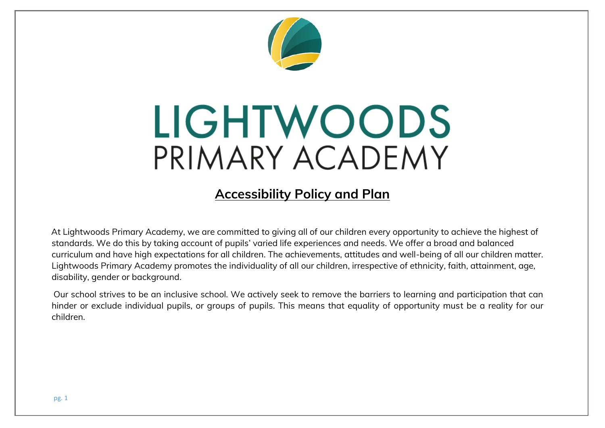

# LIGHTWOODS PRIMARY ACADEMY

## **Accessibility Policy and Plan**

At Lightwoods Primary Academy, we are committed to giving all of our children every opportunity to achieve the highest of standards. We do this by taking account of pupils' varied life experiences and needs. We offer a broad and balanced curriculum and have high expectations for all children. The achievements, attitudes and well-being of all our children matter. Lightwoods Primary Academy promotes the individuality of all our children, irrespective of ethnicity, faith, attainment, age, disability, gender or background.

Our school strives to be an inclusive school. We actively seek to remove the barriers to learning and participation that can hinder or exclude individual pupils, or groups of pupils. This means that equality of opportunity must be a reality for our children.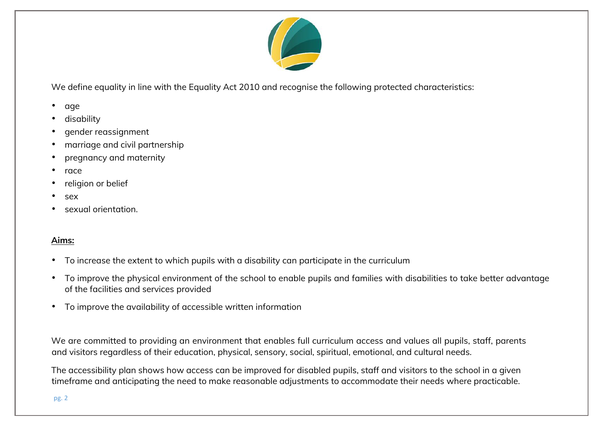

We define equality in line with the Equality Act 2010 and recognise the following protected characteristics:

- age
- disability
- gender reassignment
- marriage and civil partnership
- pregnancy and maternity
- race
- religion or belief
- sex
- sexual orientation.

#### **Aims:**

- To increase the extent to which pupils with a disability can participate in the curriculum
- To improve the physical environment of the school to enable pupils and families with disabilities to take better advantage of the facilities and services provided
- To improve the availability of accessible written information

We are committed to providing an environment that enables full curriculum access and values all pupils, staff, parents and visitors regardless of their education, physical, sensory, social, spiritual, emotional, and cultural needs.

The accessibility plan shows how access can be improved for disabled pupils, staff and visitors to the school in a given timeframe and anticipating the need to make reasonable adjustments to accommodate their needs where practicable.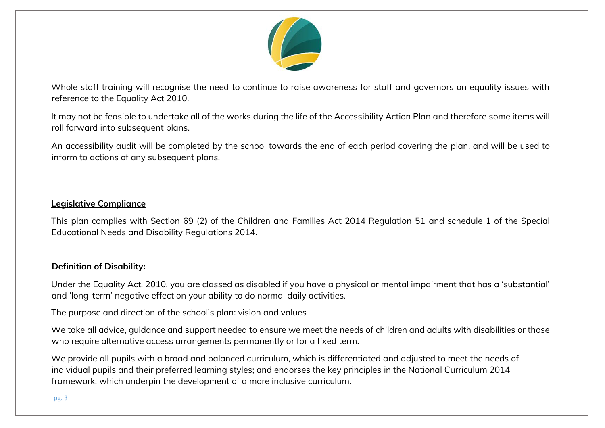

Whole staff training will recognise the need to continue to raise awareness for staff and governors on equality issues with reference to the Equality Act 2010.

It may not be feasible to undertake all of the works during the life of the Accessibility Action Plan and therefore some items will roll forward into subsequent plans.

An accessibility audit will be completed by the school towards the end of each period covering the plan, and will be used to inform to actions of any subsequent plans.

#### **Legislative Compliance**

This plan complies with Section 69 (2) of the Children and Families Act 2014 Regulation 51 and schedule 1 of the Special Educational Needs and Disability Regulations 2014.

#### **Definition of Disability:**

Under the Equality Act, 2010, you are classed as disabled if you have a physical or mental impairment that has a 'substantial' and 'long-term' negative effect on your ability to do normal daily activities.

The purpose and direction of the school's plan: vision and values

We take all advice, guidance and support needed to ensure we meet the needs of children and adults with disabilities or those who require alternative access arrangements permanently or for a fixed term.

We provide all pupils with a broad and balanced curriculum, which is differentiated and adjusted to meet the needs of individual pupils and their preferred learning styles; and endorses the key principles in the National Curriculum 2014 framework, which underpin the development of a more inclusive curriculum.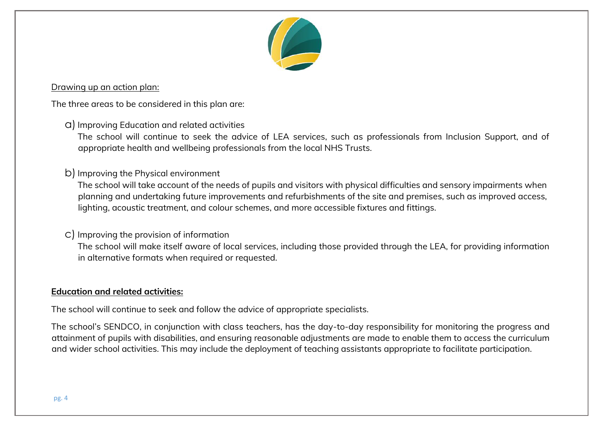

#### Drawing up an action plan:

The three areas to be considered in this plan are:

a)Improving Education and related activities

The school will continue to seek the advice of LEA services, such as professionals from Inclusion Support, and of appropriate health and wellbeing professionals from the local NHS Trusts.

b) Improving the Physical environment

The school will take account of the needs of pupils and visitors with physical difficulties and sensory impairments when planning and undertaking future improvements and refurbishments of the site and premises, such as improved access, lighting, acoustic treatment, and colour schemes, and more accessible fixtures and fittings.

#### c) Improving the provision of information

The school will make itself aware of local services, including those provided through the LEA, for providing information in alternative formats when required or requested.

#### **Education and related activities:**

The school will continue to seek and follow the advice of appropriate specialists.

The school's SENDCO, in conjunction with class teachers, has the day-to-day responsibility for monitoring the progress and attainment of pupils with disabilities, and ensuring reasonable adjustments are made to enable them to access the curriculum and wider school activities. This may include the deployment of teaching assistants appropriate to facilitate participation.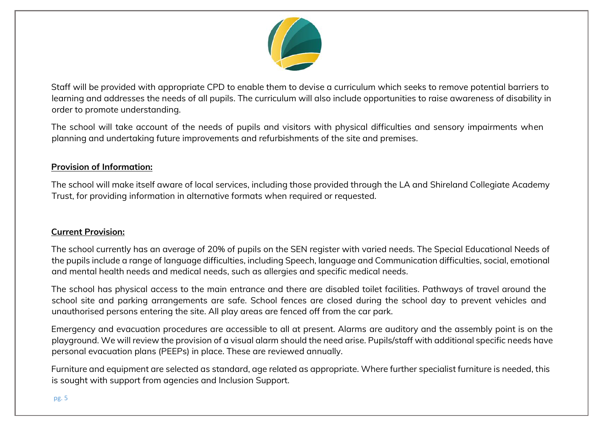

Staff will be provided with appropriate CPD to enable them to devise a curriculum which seeks to remove potential barriers to learning and addresses the needs of all pupils. The curriculum will also include opportunities to raise awareness of disability in order to promote understanding.

The school will take account of the needs of pupils and visitors with physical difficulties and sensory impairments when planning and undertaking future improvements and refurbishments of the site and premises.

#### **Provision of Information:**

The school will make itself aware of local services, including those provided through the LA and Shireland Collegiate Academy Trust, for providing information in alternative formats when required or requested.

#### **Current Provision:**

The school currently has an average of 20% of pupils on the SEN register with varied needs. The Special Educational Needs of the pupils include a range of language difficulties, including Speech, language and Communication difficulties, social, emotional and mental health needs and medical needs, such as allergies and specific medical needs.

The school has physical access to the main entrance and there are disabled toilet facilities. Pathways of travel around the school site and parking arrangements are safe. School fences are closed during the school day to prevent vehicles and unauthorised persons entering the site. All play areas are fenced off from the car park.

Emergency and evacuation procedures are accessible to all at present. Alarms are auditory and the assembly point is on the playground. We will review the provision of a visual alarm should the need arise. Pupils/staff with additional specific needs have personal evacuation plans (PEEPs) in place. These are reviewed annually.

Furniture and equipment are selected as standard, age related as appropriate. Where further specialist furniture is needed, this is sought with support from agencies and Inclusion Support.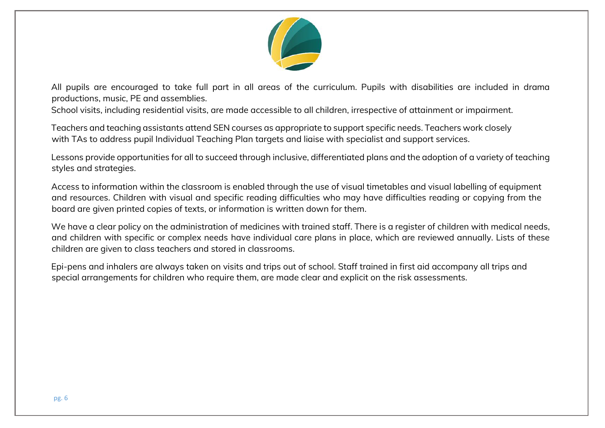

All pupils are encouraged to take full part in all areas of the curriculum. Pupils with disabilities are included in drama productions, music, PE and assemblies.

School visits, including residential visits, are made accessible to all children, irrespective of attainment or impairment.

Teachers and teaching assistants attend SEN courses as appropriate to support specific needs. Teachers work closely with TAs to address pupil Individual Teaching Plan targets and liaise with specialist and support services.

Lessons provide opportunities for all to succeed through inclusive, differentiated plans and the adoption of a variety of teaching styles and strategies.

Access to information within the classroom is enabled through the use of visual timetables and visual labelling of equipment and resources. Children with visual and specific reading difficulties who may have difficulties reading or copying from the board are given printed copies of texts, or information is written down for them.

We have a clear policy on the administration of medicines with trained staff. There is a register of children with medical needs, and children with specific or complex needs have individual care plans in place, which are reviewed annually. Lists of these children are given to class teachers and stored in classrooms.

Epi-pens and inhalers are always taken on visits and trips out of school. Staff trained in first aid accompany all trips and special arrangements for children who require them, are made clear and explicit on the risk assessments.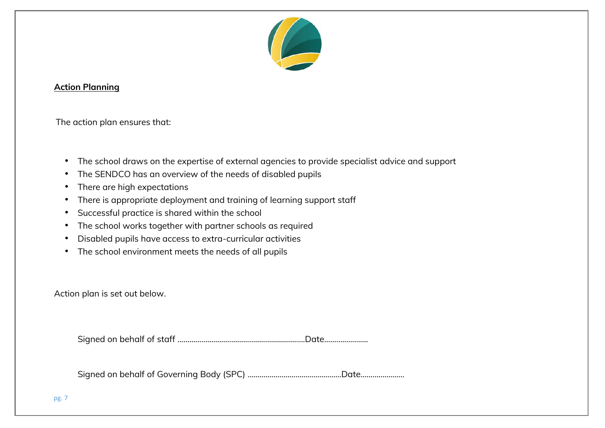

#### **Action Planning**

The action plan ensures that:

- The school draws on the expertise of external agencies to provide specialist advice and support
- The SENDCO has an overview of the needs of disabled pupils
- There are high expectations
- There is appropriate deployment and training of learning support staff
- Successful practice is shared within the school
- The school works together with partner schools as required
- Disabled pupils have access to extra-curricular activities
- The school environment meets the needs of all pupils

Action plan is set out below.

Signed on behalf of staff ……………………………………………………….Date………………….

Signed on behalf of Governing Body (SPC) ………………………………………..Date………………….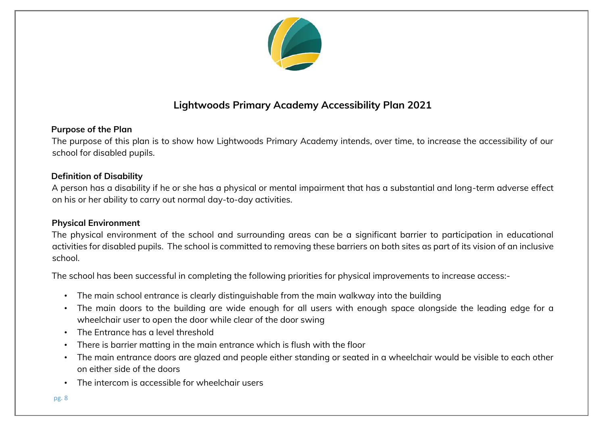

### **Lightwoods Primary Academy Accessibility Plan 2021**

#### **Purpose of the Plan**

The purpose of this plan is to show how Lightwoods Primary Academy intends, over time, to increase the accessibility of our school for disabled pupils.

#### **Definition of Disability**

A person has a disability if he or she has a physical or mental impairment that has a substantial and long-term adverse effect on his or her ability to carry out normal day-to-day activities.

#### **Physical Environment**

The physical environment of the school and surrounding areas can be a significant barrier to participation in educational activities for disabled pupils. The school is committed to removing these barriers on both sites as part of its vision of an inclusive school.

The school has been successful in completing the following priorities for physical improvements to increase access:-

- The main school entrance is clearly distinguishable from the main walkway into the building
- The main doors to the building are wide enough for all users with enough space alongside the leading edge for a wheelchair user to open the door while clear of the door swing
- The Entrance has a level threshold
- There is barrier matting in the main entrance which is flush with the floor
- The main entrance doors are glazed and people either standing or seated in a wheelchair would be visible to each other on either side of the doors
- The intercom is accessible for wheelchair users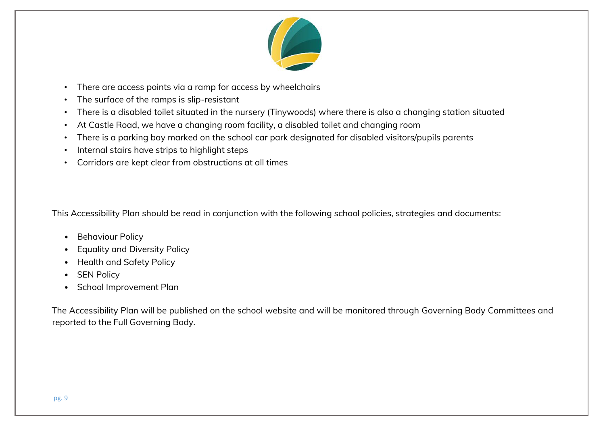

- There are access points via a ramp for access by wheelchairs
- The surface of the ramps is slip-resistant
- There is a disabled toilet situated in the nursery (Tinywoods) where there is also a changing station situated
- At Castle Road, we have a changing room facility, a disabled toilet and changing room
- There is a parking bay marked on the school car park designated for disabled visitors/pupils parents
- Internal stairs have strips to highlight steps
- Corridors are kept clear from obstructions at all times

This Accessibility Plan should be read in conjunction with the following school policies, strategies and documents:

- Behaviour Policy
- Equality and Diversity Policy
- Health and Safety Policy
- SEN Policy
- School Improvement Plan

The Accessibility Plan will be published on the school website and will be monitored through Governing Body Committees and reported to the Full Governing Body.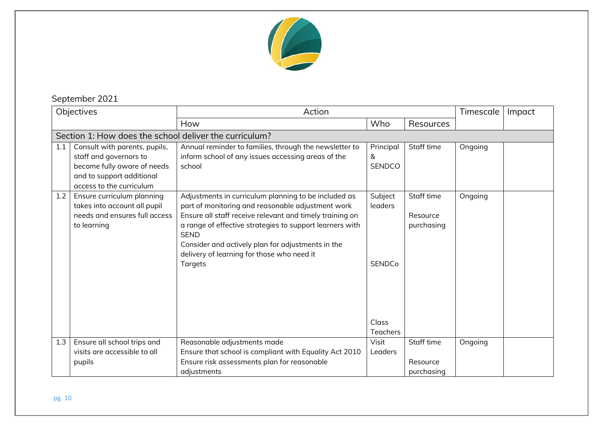

## September 2021

| Objectives |                                                                                                                                                 | Action                                                                                                                                                                                                                                                                                                                                                         |                                                                 |                                      | Timescale | Impact |  |
|------------|-------------------------------------------------------------------------------------------------------------------------------------------------|----------------------------------------------------------------------------------------------------------------------------------------------------------------------------------------------------------------------------------------------------------------------------------------------------------------------------------------------------------------|-----------------------------------------------------------------|--------------------------------------|-----------|--------|--|
|            |                                                                                                                                                 | How                                                                                                                                                                                                                                                                                                                                                            | Who                                                             | Resources                            |           |        |  |
|            | Section 1: How does the school deliver the curriculum?                                                                                          |                                                                                                                                                                                                                                                                                                                                                                |                                                                 |                                      |           |        |  |
| 1.1        | Consult with parents, pupils,<br>staff and governors to<br>become fully aware of needs<br>and to support additional<br>access to the curriculum | Annual reminder to families, through the newsletter to<br>inform school of any issues accessing areas of the<br>school                                                                                                                                                                                                                                         | Principal<br>&<br><b>SENDCO</b>                                 | Staff time                           | Ongoing   |        |  |
| 1.2        | Ensure curriculum planning<br>takes into account all pupil<br>needs and ensures full access<br>to learning                                      | Adjustments in curriculum planning to be included as<br>part of monitoring and reasonable adjustment work<br>Ensure all staff receive relevant and timely training on<br>a range of effective strategies to support learners with<br><b>SEND</b><br>Consider and actively plan for adjustments in the<br>delivery of learning for those who need it<br>Targets | Subject<br>leaders<br><b>SENDCo</b><br>Class<br><b>Teachers</b> | Staff time<br>Resource<br>purchasing | Ongoing   |        |  |
| 1.3        | Ensure all school trips and<br>visits are accessible to all                                                                                     | Reasonable adjustments made<br>Ensure that school is compliant with Equality Act 2010                                                                                                                                                                                                                                                                          | Visit<br>Leaders                                                | Staff time                           | Ongoing   |        |  |
|            | pupils                                                                                                                                          | Ensure risk assessments plan for reasonable<br>adjustments                                                                                                                                                                                                                                                                                                     |                                                                 | Resource<br>purchasing               |           |        |  |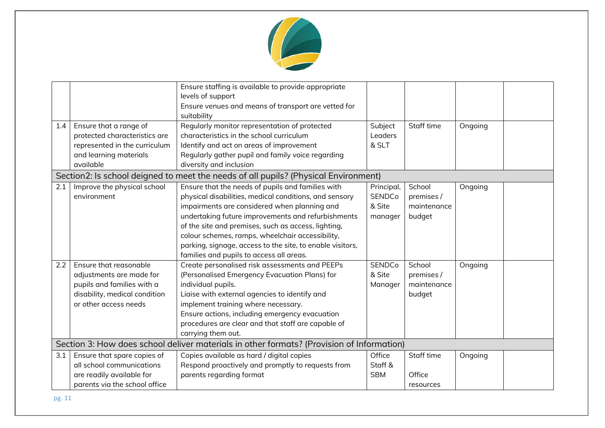

| 1.4 | Ensure that a range of<br>protected characteristics are<br>represented in the curriculum<br>and learning materials<br>available            | Ensure staffing is available to provide appropriate<br>levels of support<br>Ensure venues and means of transport are vetted for<br>suitability<br>Regularly monitor representation of protected<br>characteristics in the school curriculum<br>Identify and act on areas of improvement<br>Regularly gather pupil and family voice regarding<br>diversity and inclusion                                                               | Subject<br>Leaders<br>& SLT                      | Staff time                                    | Ongoing |  |  |
|-----|--------------------------------------------------------------------------------------------------------------------------------------------|---------------------------------------------------------------------------------------------------------------------------------------------------------------------------------------------------------------------------------------------------------------------------------------------------------------------------------------------------------------------------------------------------------------------------------------|--------------------------------------------------|-----------------------------------------------|---------|--|--|
|     | Section2: Is school deigned to meet the needs of all pupils? (Physical Environment)                                                        |                                                                                                                                                                                                                                                                                                                                                                                                                                       |                                                  |                                               |         |  |  |
| 2.1 | Improve the physical school<br>environment                                                                                                 | Ensure that the needs of pupils and families with<br>physical disabilities, medical conditions, and sensory<br>impairments are considered when planning and<br>undertaking future improvements and refurbishments<br>of the site and premises, such as access, lighting,<br>colour schemes, ramps, wheelchair accessibility,<br>parking, signage, access to the site, to enable visitors,<br>families and pupils to access all areas. | Principal,<br><b>SENDCo</b><br>& Site<br>manager | School<br>premises /<br>maintenance<br>budget | Ongoing |  |  |
| 2.2 | Ensure that reasonable<br>adjustments are made for<br>pupils and families with a<br>disability, medical condition<br>or other access needs | Create personalised risk assessments and PEEPs<br>(Personalised Emergency Evacuation Plans) for<br>individual pupils.<br>Liaise with external agencies to identify and<br>implement training where necessary.<br>Ensure actions, including emergency evacuation<br>procedures are clear and that staff are capable of<br>carrying them out.                                                                                           | <b>SENDCo</b><br>& Site<br>Manager               | School<br>premises /<br>maintenance<br>budget | Ongoing |  |  |
|     |                                                                                                                                            | Section 3: How does school deliver materials in other formats? (Provision of Information)                                                                                                                                                                                                                                                                                                                                             |                                                  |                                               |         |  |  |
| 3.1 | Ensure that spare copies of<br>all school communications<br>are readily available for<br>parents via the school office                     | Copies available as hard / digital copies<br>Respond proactively and promptly to requests from<br>parents regarding format                                                                                                                                                                                                                                                                                                            | Office<br>Staff &<br><b>SBM</b>                  | Staff time<br>Office<br>resources             | Ongoing |  |  |